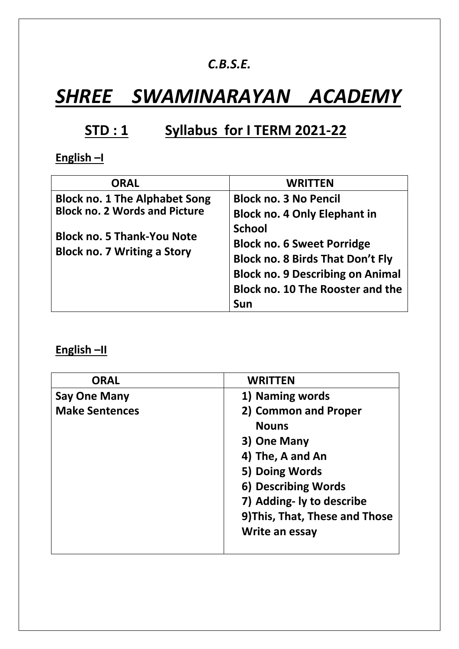## *C.B.S.E.*

# *SHREE SWAMINARAYAN ACADEMY*

# **STD : 1 Syllabus for I TERM 2021-22**

# **English –I**

| <b>ORAL</b>                                                                                                                                             | <b>WRITTEN</b>                                                                                                                                                                                                                                             |
|---------------------------------------------------------------------------------------------------------------------------------------------------------|------------------------------------------------------------------------------------------------------------------------------------------------------------------------------------------------------------------------------------------------------------|
| <b>Block no. 1 The Alphabet Song</b><br><b>Block no. 2 Words and Picture</b><br><b>Block no. 5 Thank-You Note</b><br><b>Block no. 7 Writing a Story</b> | <b>Block no. 3 No Pencil</b><br><b>Block no. 4 Only Elephant in</b><br><b>School</b><br><b>Block no. 6 Sweet Porridge</b><br><b>Block no. 8 Birds That Don't Fly</b><br><b>Block no. 9 Describing on Animal</b><br><b>Block no. 10 The Rooster and the</b> |
|                                                                                                                                                         | Sun                                                                                                                                                                                                                                                        |

#### **English –II**

| <b>ORAL</b>           | <b>WRITTEN</b>                 |
|-----------------------|--------------------------------|
| <b>Say One Many</b>   | 1) Naming words                |
| <b>Make Sentences</b> | 2) Common and Proper           |
|                       | <b>Nouns</b>                   |
|                       | 3) One Many                    |
|                       | 4) The, A and An               |
|                       | 5) Doing Words                 |
|                       | 6) Describing Words            |
|                       | 7) Adding- ly to describe      |
|                       | 9) This, That, These and Those |
|                       | Write an essay                 |
|                       |                                |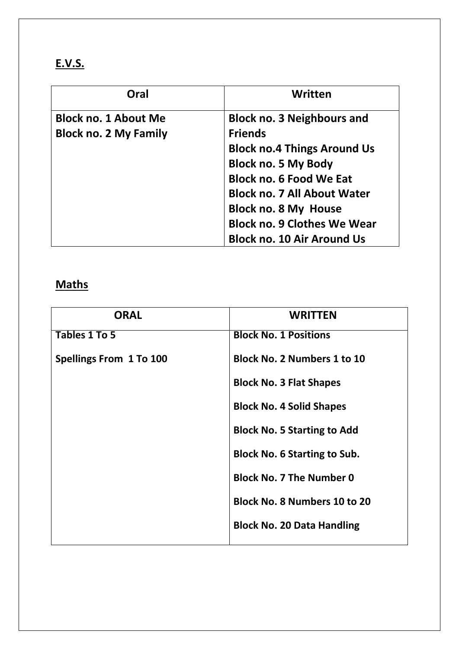| Oral                         | Written                            |
|------------------------------|------------------------------------|
| <b>Block no. 1 About Me</b>  | <b>Block no. 3 Neighbours and</b>  |
| <b>Block no. 2 My Family</b> | <b>Friends</b>                     |
|                              | <b>Block no.4 Things Around Us</b> |
|                              | <b>Block no. 5 My Body</b>         |
|                              | <b>Block no. 6 Food We Eat</b>     |
|                              | <b>Block no. 7 All About Water</b> |
|                              | <b>Block no. 8 My House</b>        |
|                              | <b>Block no. 9 Clothes We Wear</b> |
|                              | <b>Block no. 10 Air Around Us</b>  |

# **Maths**

| <b>ORAL</b>             | <b>WRITTEN</b>                      |
|-------------------------|-------------------------------------|
| Tables 1 To 5           | <b>Block No. 1 Positions</b>        |
| Spellings From 1 To 100 | <b>Block No. 2 Numbers 1 to 10</b>  |
|                         | <b>Block No. 3 Flat Shapes</b>      |
|                         | <b>Block No. 4 Solid Shapes</b>     |
|                         | <b>Block No. 5 Starting to Add</b>  |
|                         | <b>Block No. 6 Starting to Sub.</b> |
|                         | <b>Block No. 7 The Number 0</b>     |
|                         | <b>Block No. 8 Numbers 10 to 20</b> |
|                         | <b>Block No. 20 Data Handling</b>   |
|                         |                                     |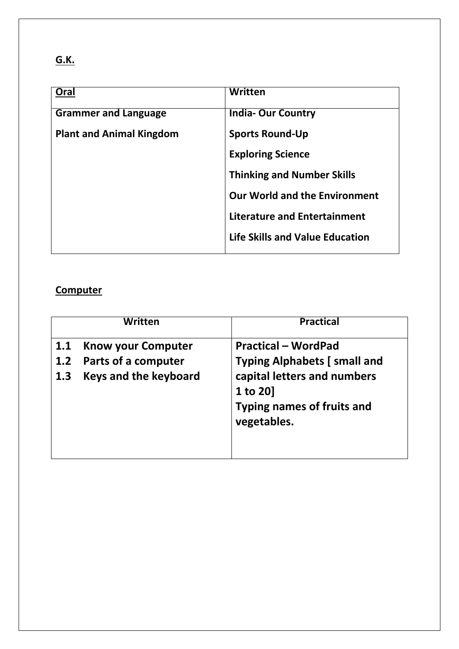# **G.K.**

| Oral                            | Written                                |
|---------------------------------|----------------------------------------|
| <b>Grammer and Language</b>     | <b>India-Our Country</b>               |
| <b>Plant and Animal Kingdom</b> | <b>Sports Round-Up</b>                 |
|                                 | <b>Exploring Science</b>               |
|                                 | <b>Thinking and Number Skills</b>      |
|                                 | <b>Our World and the Environment</b>   |
|                                 | <b>Literature and Entertainment</b>    |
|                                 | <b>Life Skills and Value Education</b> |
|                                 |                                        |

## **Computer**

|     | Written                      | <b>Practical</b>                                                                            |
|-----|------------------------------|---------------------------------------------------------------------------------------------|
| 1.1 | <b>Know your Computer</b>    | <b>Practical – WordPad</b>                                                                  |
| 1.2 | Parts of a computer          | <b>Typing Alphabets [small and</b>                                                          |
| 1.3 | <b>Keys and the keyboard</b> | capital letters and numbers<br>1 to 20]<br><b>Typing names of fruits and</b><br>vegetables. |